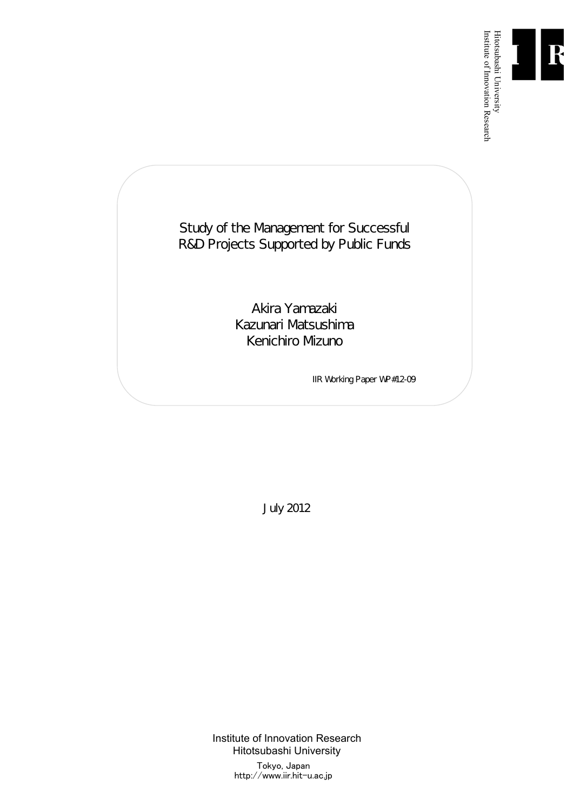

Institute of Innovation Research

Study of the Management for Successful R&D Projects Supported by Public Funds

> Akira Yamazaki Kazunari Matsushima Kenichiro Mizuno

> > IIR Working Paper WP#12-09

July 2012

Institute of Innovation Research Hitotsubashi University Tokyo, Japan http://www.iir.hit-u.ac.jp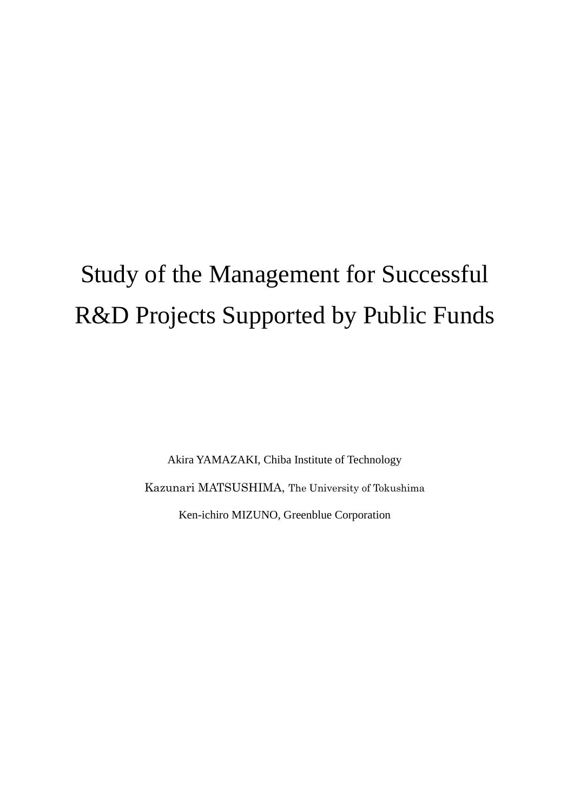# Study of the Management for Successful R&D Projects Supported by Public Funds

Akira YAMAZAKI, Chiba Institute of Technology Kazunari MATSUSHIMA, The University of Tokushima Ken-ichiro MIZUNO, Greenblue Corporation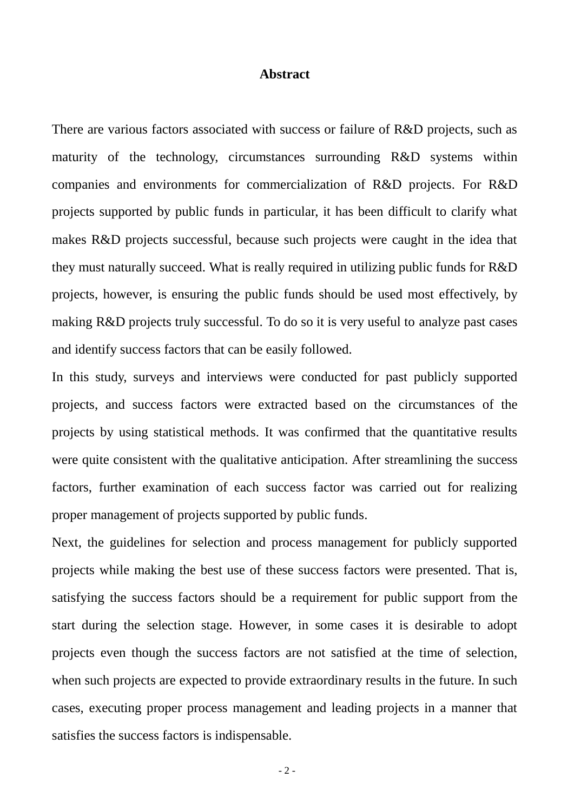# **Abstract**

There are various factors associated with success or failure of R&D projects, such as maturity of the technology, circumstances surrounding R&D systems within companies and environments for commercialization of R&D projects. For R&D projects supported by public funds in particular, it has been difficult to clarify what makes R&D projects successful, because such projects were caught in the idea that they must naturally succeed. What is really required in utilizing public funds for R&D projects, however, is ensuring the public funds should be used most effectively, by making R&D projects truly successful. To do so it is very useful to analyze past cases and identify success factors that can be easily followed.

In this study, surveys and interviews were conducted for past publicly supported projects, and success factors were extracted based on the circumstances of the projects by using statistical methods. It was confirmed that the quantitative results were quite consistent with the qualitative anticipation. After streamlining the success factors, further examination of each success factor was carried out for realizing proper management of projects supported by public funds.

Next, the guidelines for selection and process management for publicly supported projects while making the best use of these success factors were presented. That is, satisfying the success factors should be a requirement for public support from the start during the selection stage. However, in some cases it is desirable to adopt projects even though the success factors are not satisfied at the time of selection, when such projects are expected to provide extraordinary results in the future. In such cases, executing proper process management and leading projects in a manner that satisfies the success factors is indispensable.

- 2 -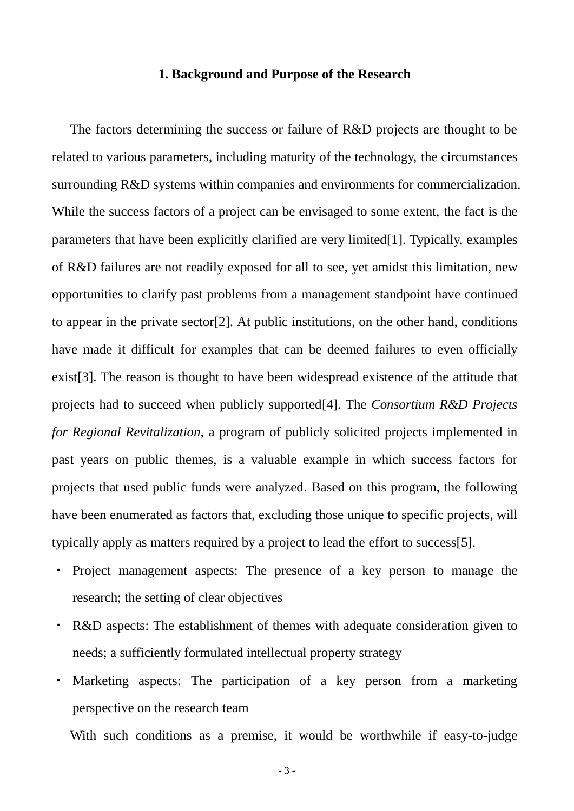# **1. Background and Purpose of the Research**

The factors determining the success or failure of R&D projects are thought to be related to various parameters, including maturity of the technology, the circumstances surrounding R&D systems within companies and environments for commercialization. While the success factors of a project can be envisaged to some extent, the fact is the parameters that have been explicitly clarified are very limited[1]. Typically, examples of R&D failures are not readily exposed for all to see, yet amidst this limitation, new opportunities to clarify past problems from a management standpoint have continued to appear in the private sector[2]. At public institutions, on the other hand, conditions have made it difficult for examples that can be deemed failures to even officially exist[3]. The reason is thought to have been widespread existence of the attitude that projects had to succeed when publicly supported[4]. The *Consortium R&D Projects for Regional Revitalization*, a program of publicly solicited projects implemented in past years on public themes, is a valuable example in which success factors for projects that used public funds were analyzed. Based on this program, the following have been enumerated as factors that, excluding those unique to specific projects, will typically apply as matters required by a project to lead the effort to success[5].

- ・ Project management aspects: The presence of a key person to manage the research; the setting of clear objectives
- ・ R&D aspects: The establishment of themes with adequate consideration given to needs; a sufficiently formulated intellectual property strategy
- ・ Marketing aspects: The participation of a key person from a marketing perspective on the research team

With such conditions as a premise, it would be worthwhile if easy-to-judge

- 3 -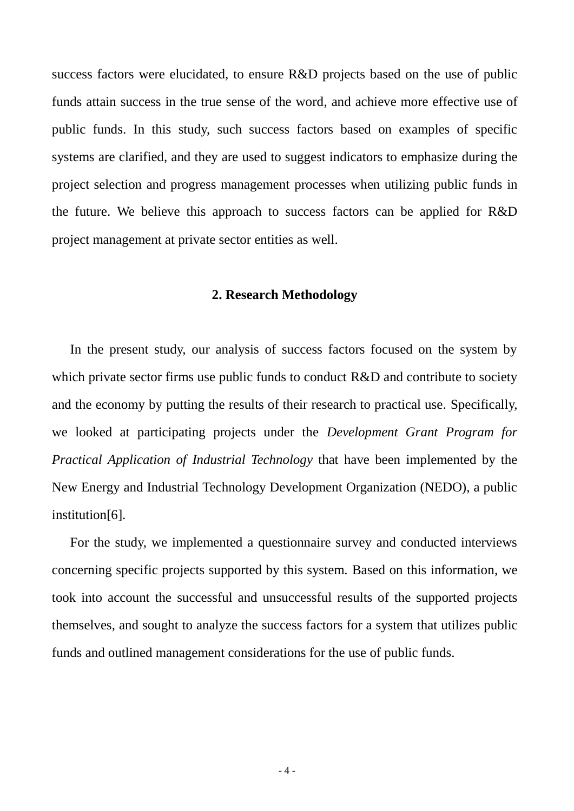success factors were elucidated, to ensure R&D projects based on the use of public funds attain success in the true sense of the word, and achieve more effective use of public funds. In this study, such success factors based on examples of specific systems are clarified, and they are used to suggest indicators to emphasize during the project selection and progress management processes when utilizing public funds in the future. We believe this approach to success factors can be applied for R&D project management at private sector entities as well.

# **2. Research Methodology**

In the present study, our analysis of success factors focused on the system by which private sector firms use public funds to conduct R&D and contribute to society and the economy by putting the results of their research to practical use. Specifically, we looked at participating projects under the *Development Grant Program for Practical Application of Industrial Technology* that have been implemented by the New Energy and Industrial Technology Development Organization (NEDO), a public institution[6].

For the study, we implemented a questionnaire survey and conducted interviews concerning specific projects supported by this system. Based on this information, we took into account the successful and unsuccessful results of the supported projects themselves, and sought to analyze the success factors for a system that utilizes public funds and outlined management considerations for the use of public funds.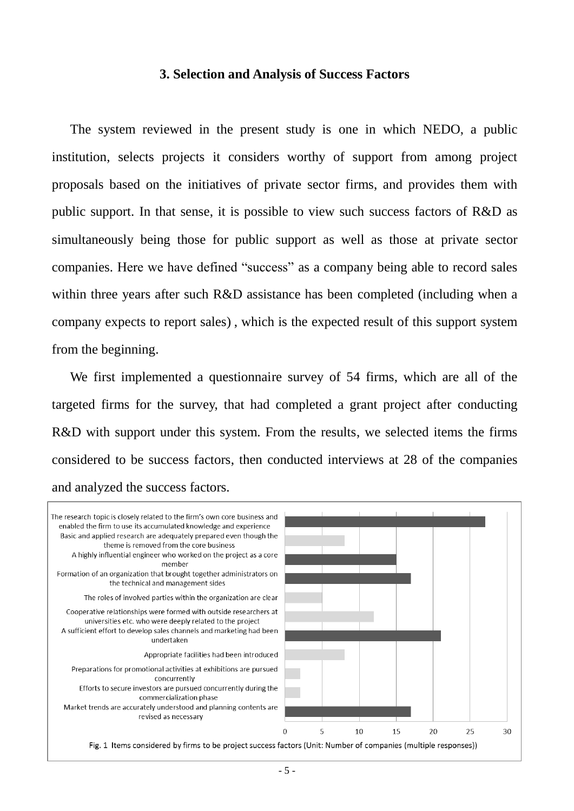#### **3. Selection and Analysis of Success Factors**

The system reviewed in the present study is one in which NEDO, a public institution, selects projects it considers worthy of support from among project proposals based on the initiatives of private sector firms, and provides them with public support. In that sense, it is possible to view such success factors of R&D as simultaneously being those for public support as well as those at private sector companies. Here we have defined "success" as a company being able to record sales within three years after such R&D assistance has been completed (including when a company expects to report sales) , which is the expected result of this support system from the beginning.

We first implemented a questionnaire survey of 54 firms, which are all of the targeted firms for the survey, that had completed a grant project after conducting R&D with support under this system. From the results, we selected items the firms considered to be success factors, then conducted interviews at 28 of the companies and analyzed the success factors.

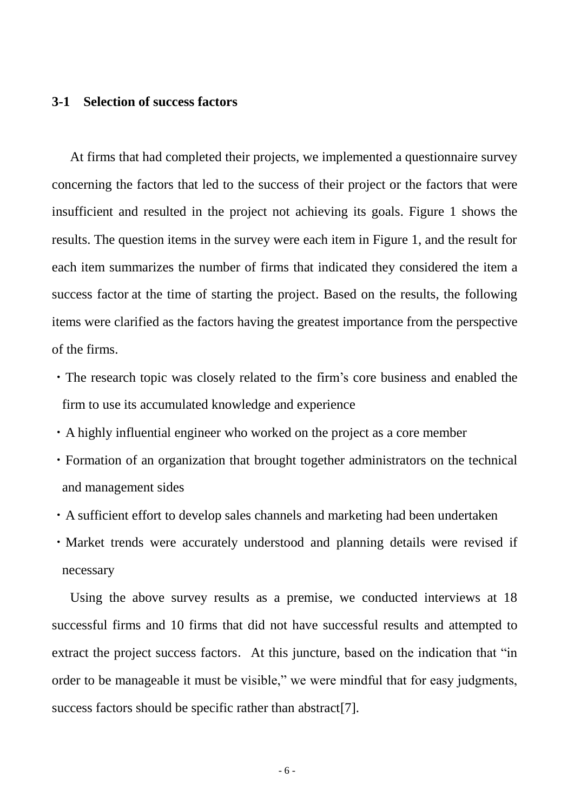# **3-1 Selection of success factors**

At firms that had completed their projects, we implemented a questionnaire survey concerning the factors that led to the success of their project or the factors that were insufficient and resulted in the project not achieving its goals. Figure 1 shows the results. The question items in the survey were each item in Figure 1, and the result for each item summarizes the number of firms that indicated they considered the item a success factor at the time of starting the project. Based on the results, the following items were clarified as the factors having the greatest importance from the perspective of the firms.

- ・The research topic was closely related to the firm's core business and enabled the firm to use its accumulated knowledge and experience
- ・A highly influential engineer who worked on the project as a core member
- ・Formation of an organization that brought together administrators on the technical and management sides
- ・A sufficient effort to develop sales channels and marketing had been undertaken
- ・Market trends were accurately understood and planning details were revised if necessary

Using the above survey results as a premise, we conducted interviews at 18 successful firms and 10 firms that did not have successful results and attempted to extract the project success factors. At this juncture, based on the indication that "in order to be manageable it must be visible," we were mindful that for easy judgments, success factors should be specific rather than abstract [7].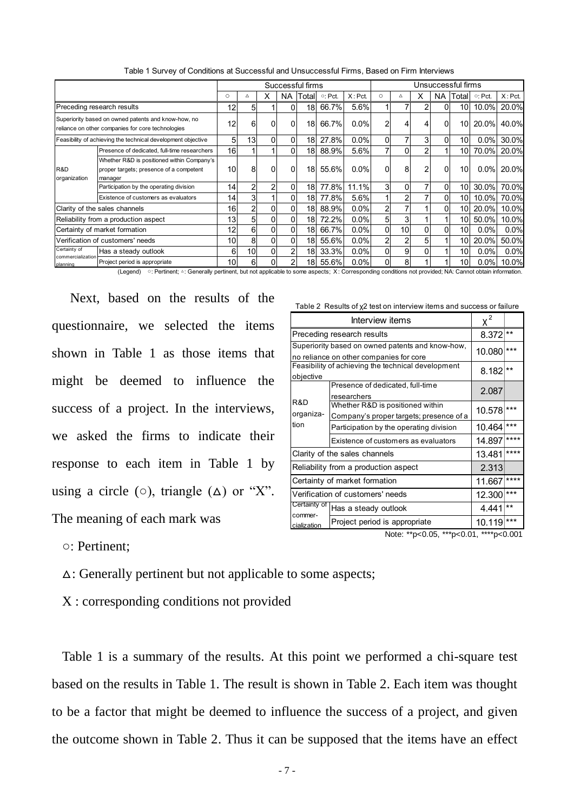|                                                                                                          |                                                                                                  |                 |                |    |                | Successful firms |                |           |    |    | Unsuccessful firms |          |                 |                |               |
|----------------------------------------------------------------------------------------------------------|--------------------------------------------------------------------------------------------------|-----------------|----------------|----|----------------|------------------|----------------|-----------|----|----|--------------------|----------|-----------------|----------------|---------------|
|                                                                                                          |                                                                                                  | $\circ$         | Δ              | X. | NA I           | Totall           | $\circ$ : Pct. | $X:$ Pct. | Ο  | Δ  | x                  |          | NA ITotall      | $\circ$ : Pct. | $X:$ Pct.     |
| Preceding research results                                                                               |                                                                                                  | 12              | 5              |    | ΩI             | 18               | 66.7%          | 5.6%      |    |    |                    | $\Omega$ | 10              | 10.0%          | 20.0%         |
| Superiority based on owned patents and know-how, no<br>reliance on other companies for core technologies |                                                                                                  | 12              | 6              |    | 0              | 18               | 66.7%          | 0.0%      |    | 4  |                    | $\Omega$ | 10              | 20.0%          | 40.0%         |
|                                                                                                          | Feasibility of achieving the technical development objective                                     | 5               | 13             | 0  | 0              | 18 <sup>1</sup>  | 27.8%          | 0.0%      | ΩI |    | 3                  | $\Omega$ | 10              | 30.0%<br>0.0%  |               |
|                                                                                                          | Presence of dedicated, full-time researchers                                                     | 16              |                |    | $\Omega$       | 181              | 88.9%          | 5.6%      |    | 0  |                    |          | 10 <sup>1</sup> | 70.0%          | 20.0%         |
| R&D<br>organization                                                                                      | Whether R&D is positioned within Company's<br>proper targets; presence of a competent<br>manager | 10              | 8              | 0  | 0              | 18               | 55.6%          | 0.0%      | 0  | 8  |                    | $\Omega$ | 10              |                | $0.0\%$ 20.0% |
|                                                                                                          | Participation by the operating division                                                          | 14 <sub>1</sub> | $\overline{2}$ | 2  | $\Omega$       | 181              | 77.8%          | 11.1%     | 3  | 0  |                    | $\Omega$ | 10              | $30.0\%$       | 70.0%         |
|                                                                                                          | Existence of customers as evaluators                                                             | 14 <sub>1</sub> | 3              |    | 0              | 18l              | 77.8%          | 5.6%      |    | 2  |                    | $\Omega$ | 10 <sup>1</sup> | 10.0%          | 70.0%         |
| Clarity of the sales channels                                                                            |                                                                                                  | 16              |                | U  | 0              | 181              | 88.9%          | 0.0%      | 2  |    |                    | $\Omega$ | 10 <sup>1</sup> | 20.0%          | 10.0%         |
| Reliability from a production aspect                                                                     |                                                                                                  | 13              |                |    | $\Omega$       | 18               | 72.2%          | 0.0%      | 5  | 3  |                    |          | 10 <sup>1</sup> | 50.0%          | 10.0%         |
| Certainty of market formation                                                                            |                                                                                                  | 12              | 61             |    | $\Omega$       | 18               | 66.7%          | 0.0%      | 0  | 10 |                    | $\Omega$ | 10              | 0.0%           | 0.0%          |
| Verification of customers' needs                                                                         |                                                                                                  | 10              | 8              | 0  | 0              | 18               | 55.6%          | 0.0%      |    | 2  | 5                  |          | 10I             | 20.0%          | 50.0%         |
| Certainty of                                                                                             | Has a steady outlook                                                                             | 6               | 10             | 0  | $\overline{2}$ | 18               | 33.3%          | 0.0%      | 0  | 9  |                    |          | 10              | 0.0%           | 0.0%          |
| commercialization<br>planning                                                                            | Project period is appropriate                                                                    | 10              | 6              |    | 2              | 181              | 55.6%          | 0.0%      | 01 | 8  |                    |          | 10              | $0.0\%$        | 10.0%         |

Table 1 Survey of Conditions at Successful and Unsuccessful Firms, Based on Firm Interviews

(Legend) ○: Pertinent; △: Generally pertinent, but not applicable to some aspects; X: Corresponding conditions not provided; NA: Cannot obtain information.

Next, based on the results of the questionnaire, we selected the items shown in Table 1 as those items that might be deemed to influence the success of a project. In the interviews, we asked the firms to indicate their response to each item in Table 1 by using a circle ( $\circ$ ), triangle ( $\Delta$ ) or "X". The meaning of each mark was

Table 2 Results of χ2 test on interview items and success or failure

|                                                                                             | $\chi^2$                                                                    |        |       |  |  |  |  |  |
|---------------------------------------------------------------------------------------------|-----------------------------------------------------------------------------|--------|-------|--|--|--|--|--|
| Preceding research results                                                                  | 8.372                                                                       | $***$  |       |  |  |  |  |  |
| Superiority based on owned patents and know-how,<br>no reliance on other companies for core | 10.080                                                                      | ***    |       |  |  |  |  |  |
| Feasibility of achieving the technical development<br>objective                             | 8.182                                                                       | $***$  |       |  |  |  |  |  |
|                                                                                             | Presence of dedicated, full-time<br>researchers                             | 2.087  |       |  |  |  |  |  |
| R&D<br>organiza-                                                                            | Whether R&D is positioned within<br>Company's proper targets; presence of a | 10.578 | $***$ |  |  |  |  |  |
| tion                                                                                        | Participation by the operating division                                     | 10.464 | ***   |  |  |  |  |  |
|                                                                                             | Existence of customers as evaluators                                        | 14.897 | ****  |  |  |  |  |  |
| Clarity of the sales channels                                                               | 13.481                                                                      | ****   |       |  |  |  |  |  |
| Reliability from a production aspect                                                        | 2.313                                                                       |        |       |  |  |  |  |  |
| Certainty of market formation                                                               | 11.667                                                                      | ****   |       |  |  |  |  |  |
| Verification of customers' needs                                                            | 12.300                                                                      | $***$  |       |  |  |  |  |  |
| Certainty of                                                                                | Has a steady outlook                                                        | 4.441  | $**$  |  |  |  |  |  |
| commer-<br>cialization                                                                      | Project period is appropriate                                               | 10.119 | ***   |  |  |  |  |  |
| Note: **p<0.05, ***p<0.01,<br>****p<0.001                                                   |                                                                             |        |       |  |  |  |  |  |

○: Pertinent;

△: Generally pertinent but not applicable to some aspects;

X : corresponding conditions not provided

Table 1 is a summary of the results. At this point we performed a chi-square test based on the results in Table 1. The result is shown in Table 2. Each item was thought to be a factor that might be deemed to influence the success of a project, and given the outcome shown in Table 2. Thus it can be supposed that the items have an effect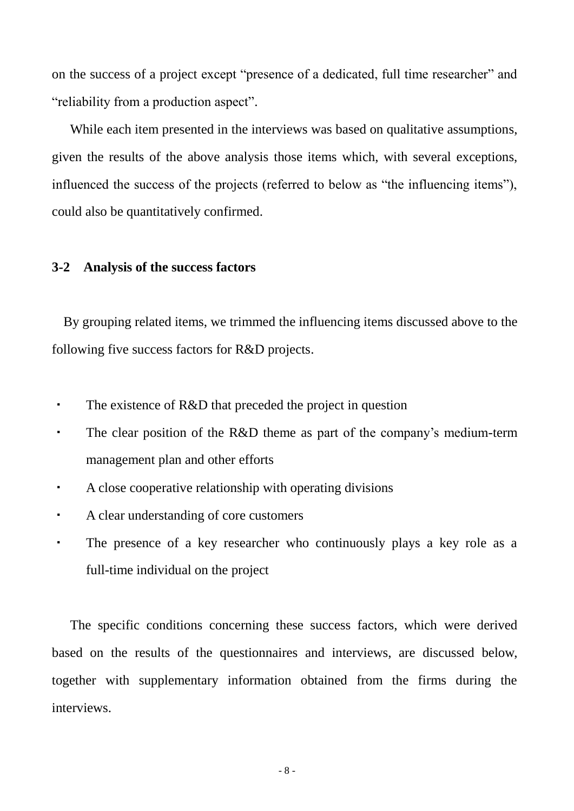on the success of a project except "presence of a dedicated, full time researcher" and "reliability from a production aspect".

While each item presented in the interviews was based on qualitative assumptions, given the results of the above analysis those items which, with several exceptions, influenced the success of the projects (referred to below as "the influencing items"), could also be quantitatively confirmed.

#### **3-2 Analysis of the success factors**

By grouping related items, we trimmed the influencing items discussed above to the following five success factors for R&D projects.

- ・ The existence of R&D that preceded the project in question
- The clear position of the R&D theme as part of the company's medium-term management plan and other efforts
- ・ A close cooperative relationship with operating divisions
- A clear understanding of core customers
- ・ The presence of a key researcher who continuously plays a key role as a full-time individual on the project

The specific conditions concerning these success factors, which were derived based on the results of the questionnaires and interviews, are discussed below, together with supplementary information obtained from the firms during the interviews.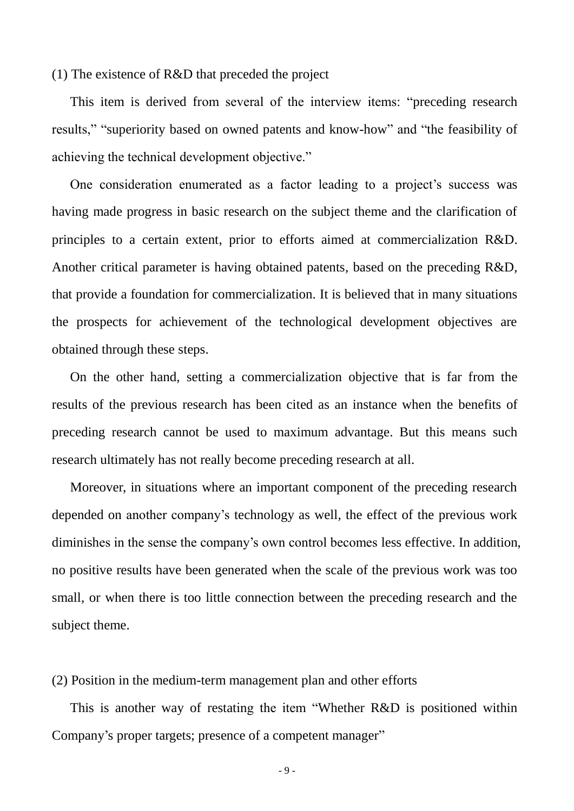(1) The existence of R&D that preceded the project

This item is derived from several of the interview items: "preceding research results," "superiority based on owned patents and know-how" and "the feasibility of achieving the technical development objective."

One consideration enumerated as a factor leading to a project's success was having made progress in basic research on the subject theme and the clarification of principles to a certain extent, prior to efforts aimed at commercialization R&D. Another critical parameter is having obtained patents, based on the preceding R&D, that provide a foundation for commercialization. It is believed that in many situations the prospects for achievement of the technological development objectives are obtained through these steps.

On the other hand, setting a commercialization objective that is far from the results of the previous research has been cited as an instance when the benefits of preceding research cannot be used to maximum advantage. But this means such research ultimately has not really become preceding research at all.

Moreover, in situations where an important component of the preceding research depended on another company's technology as well, the effect of the previous work diminishes in the sense the company's own control becomes less effective. In addition, no positive results have been generated when the scale of the previous work was too small, or when there is too little connection between the preceding research and the subject theme.

(2) Position in the medium-term management plan and other efforts

This is another way of restating the item "Whether R&D is positioned within Company's proper targets; presence of a competent manager"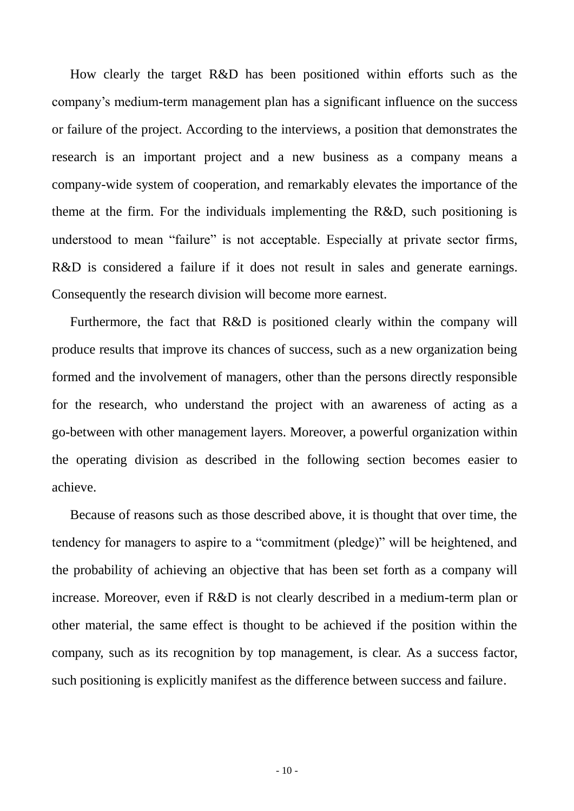How clearly the target R&D has been positioned within efforts such as the company's medium-term management plan has a significant influence on the success or failure of the project. According to the interviews, a position that demonstrates the research is an important project and a new business as a company means a company-wide system of cooperation, and remarkably elevates the importance of the theme at the firm. For the individuals implementing the R&D, such positioning is understood to mean "failure" is not acceptable. Especially at private sector firms, R&D is considered a failure if it does not result in sales and generate earnings. Consequently the research division will become more earnest.

Furthermore, the fact that R&D is positioned clearly within the company will produce results that improve its chances of success, such as a new organization being formed and the involvement of managers, other than the persons directly responsible for the research, who understand the project with an awareness of acting as a go-between with other management layers. Moreover, a powerful organization within the operating division as described in the following section becomes easier to achieve.

Because of reasons such as those described above, it is thought that over time, the tendency for managers to aspire to a "commitment (pledge)" will be heightened, and the probability of achieving an objective that has been set forth as a company will increase. Moreover, even if R&D is not clearly described in a medium-term plan or other material, the same effect is thought to be achieved if the position within the company, such as its recognition by top management, is clear. As a success factor, such positioning is explicitly manifest as the difference between success and failure.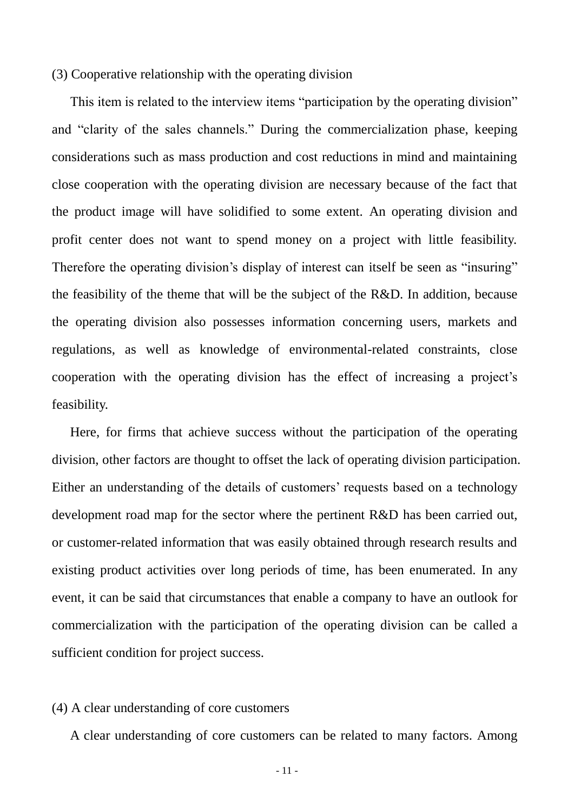## (3) Cooperative relationship with the operating division

This item is related to the interview items "participation by the operating division" and "clarity of the sales channels." During the commercialization phase, keeping considerations such as mass production and cost reductions in mind and maintaining close cooperation with the operating division are necessary because of the fact that the product image will have solidified to some extent. An operating division and profit center does not want to spend money on a project with little feasibility. Therefore the operating division's display of interest can itself be seen as "insuring" the feasibility of the theme that will be the subject of the R&D. In addition, because the operating division also possesses information concerning users, markets and regulations, as well as knowledge of environmental-related constraints, close cooperation with the operating division has the effect of increasing a project's feasibility.

Here, for firms that achieve success without the participation of the operating division, other factors are thought to offset the lack of operating division participation. Either an understanding of the details of customers' requests based on a technology development road map for the sector where the pertinent R&D has been carried out, or customer-related information that was easily obtained through research results and existing product activities over long periods of time, has been enumerated. In any event, it can be said that circumstances that enable a company to have an outlook for commercialization with the participation of the operating division can be called a sufficient condition for project success.

#### (4) A clear understanding of core customers

A clear understanding of core customers can be related to many factors. Among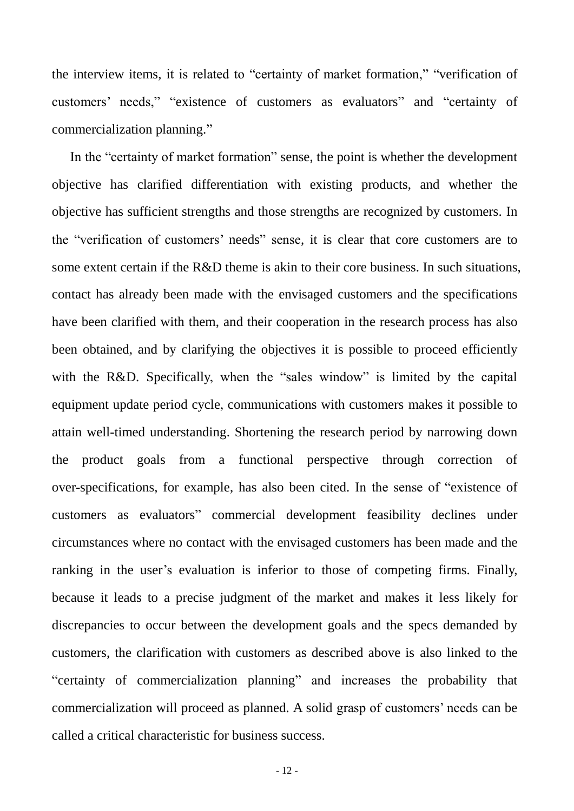the interview items, it is related to "certainty of market formation," "verification of customers' needs," "existence of customers as evaluators" and "certainty of commercialization planning."

In the "certainty of market formation" sense, the point is whether the development objective has clarified differentiation with existing products, and whether the objective has sufficient strengths and those strengths are recognized by customers. In the "verification of customers' needs" sense, it is clear that core customers are to some extent certain if the R&D theme is akin to their core business. In such situations, contact has already been made with the envisaged customers and the specifications have been clarified with them, and their cooperation in the research process has also been obtained, and by clarifying the objectives it is possible to proceed efficiently with the R&D. Specifically, when the "sales window" is limited by the capital equipment update period cycle, communications with customers makes it possible to attain well-timed understanding. Shortening the research period by narrowing down the product goals from a functional perspective through correction of over-specifications, for example, has also been cited. In the sense of "existence of customers as evaluators" commercial development feasibility declines under circumstances where no contact with the envisaged customers has been made and the ranking in the user's evaluation is inferior to those of competing firms. Finally, because it leads to a precise judgment of the market and makes it less likely for discrepancies to occur between the development goals and the specs demanded by customers, the clarification with customers as described above is also linked to the "certainty of commercialization planning" and increases the probability that commercialization will proceed as planned. A solid grasp of customers' needs can be called a critical characteristic for business success.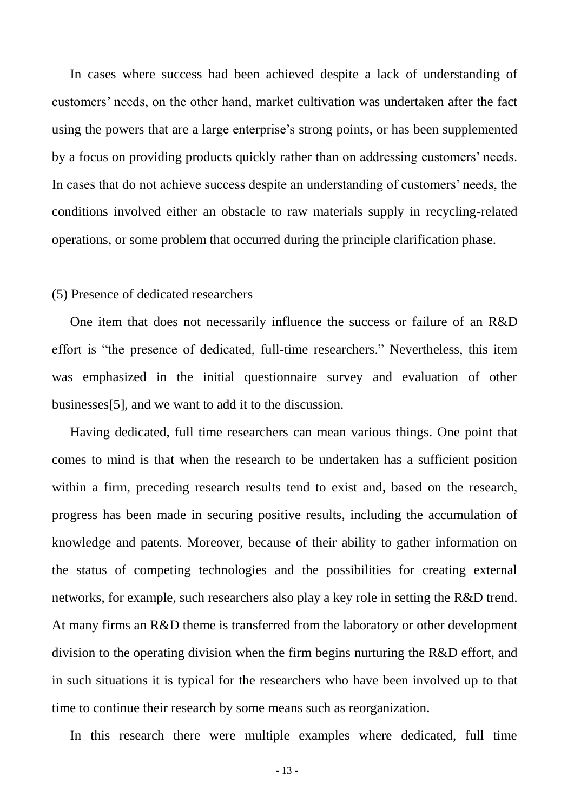In cases where success had been achieved despite a lack of understanding of customers' needs, on the other hand, market cultivation was undertaken after the fact using the powers that are a large enterprise's strong points, or has been supplemented by a focus on providing products quickly rather than on addressing customers' needs. In cases that do not achieve success despite an understanding of customers' needs, the conditions involved either an obstacle to raw materials supply in recycling-related operations, or some problem that occurred during the principle clarification phase.

#### (5) Presence of dedicated researchers

One item that does not necessarily influence the success or failure of an R&D effort is "the presence of dedicated, full-time researchers." Nevertheless, this item was emphasized in the initial questionnaire survey and evaluation of other businesses[5], and we want to add it to the discussion.

Having dedicated, full time researchers can mean various things. One point that comes to mind is that when the research to be undertaken has a sufficient position within a firm, preceding research results tend to exist and, based on the research, progress has been made in securing positive results, including the accumulation of knowledge and patents. Moreover, because of their ability to gather information on the status of competing technologies and the possibilities for creating external networks, for example, such researchers also play a key role in setting the R&D trend. At many firms an R&D theme is transferred from the laboratory or other development division to the operating division when the firm begins nurturing the R&D effort, and in such situations it is typical for the researchers who have been involved up to that time to continue their research by some means such as reorganization.

In this research there were multiple examples where dedicated, full time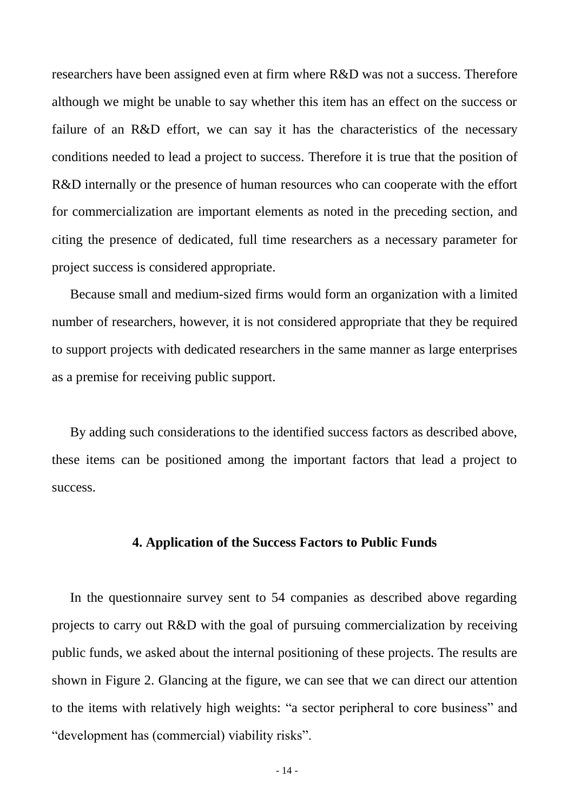researchers have been assigned even at firm where R&D was not a success. Therefore although we might be unable to say whether this item has an effect on the success or failure of an R&D effort, we can say it has the characteristics of the necessary conditions needed to lead a project to success. Therefore it is true that the position of R&D internally or the presence of human resources who can cooperate with the effort for commercialization are important elements as noted in the preceding section, and citing the presence of dedicated, full time researchers as a necessary parameter for project success is considered appropriate.

Because small and medium-sized firms would form an organization with a limited number of researchers, however, it is not considered appropriate that they be required to support projects with dedicated researchers in the same manner as large enterprises as a premise for receiving public support.

By adding such considerations to the identified success factors as described above, these items can be positioned among the important factors that lead a project to success.

# **4. Application of the Success Factors to Public Funds**

In the questionnaire survey sent to 54 companies as described above regarding projects to carry out R&D with the goal of pursuing commercialization by receiving public funds, we asked about the internal positioning of these projects. The results are shown in Figure 2. Glancing at the figure, we can see that we can direct our attention to the items with relatively high weights: "a sector peripheral to core business" and "development has (commercial) viability risks".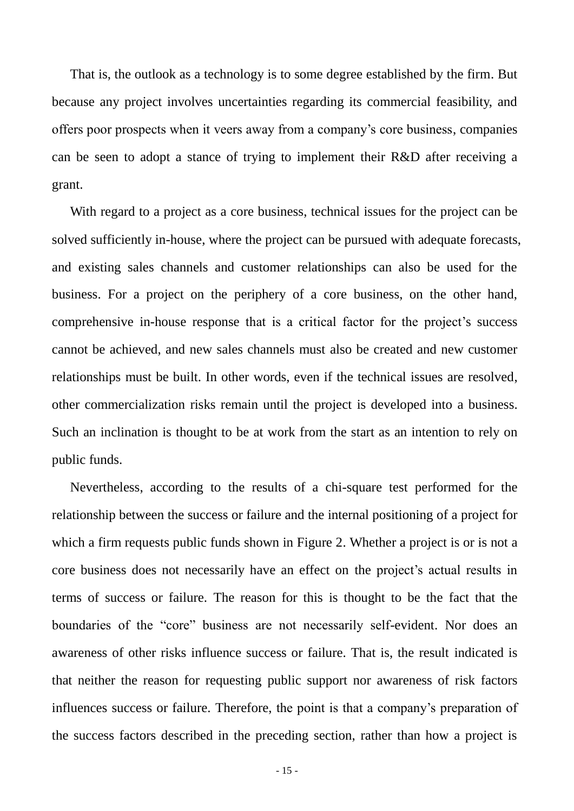That is, the outlook as a technology is to some degree established by the firm. But because any project involves uncertainties regarding its commercial feasibility, and offers poor prospects when it veers away from a company's core business, companies can be seen to adopt a stance of trying to implement their R&D after receiving a grant.

With regard to a project as a core business, technical issues for the project can be solved sufficiently in-house, where the project can be pursued with adequate forecasts, and existing sales channels and customer relationships can also be used for the business. For a project on the periphery of a core business, on the other hand, comprehensive in-house response that is a critical factor for the project's success cannot be achieved, and new sales channels must also be created and new customer relationships must be built. In other words, even if the technical issues are resolved, other commercialization risks remain until the project is developed into a business. Such an inclination is thought to be at work from the start as an intention to rely on public funds.

Nevertheless, according to the results of a chi-square test performed for the relationship between the success or failure and the internal positioning of a project for which a firm requests public funds shown in Figure 2. Whether a project is or is not a core business does not necessarily have an effect on the project's actual results in terms of success or failure. The reason for this is thought to be the fact that the boundaries of the "core" business are not necessarily self-evident. Nor does an awareness of other risks influence success or failure. That is, the result indicated is that neither the reason for requesting public support nor awareness of risk factors influences success or failure. Therefore, the point is that a company's preparation of the success factors described in the preceding section, rather than how a project is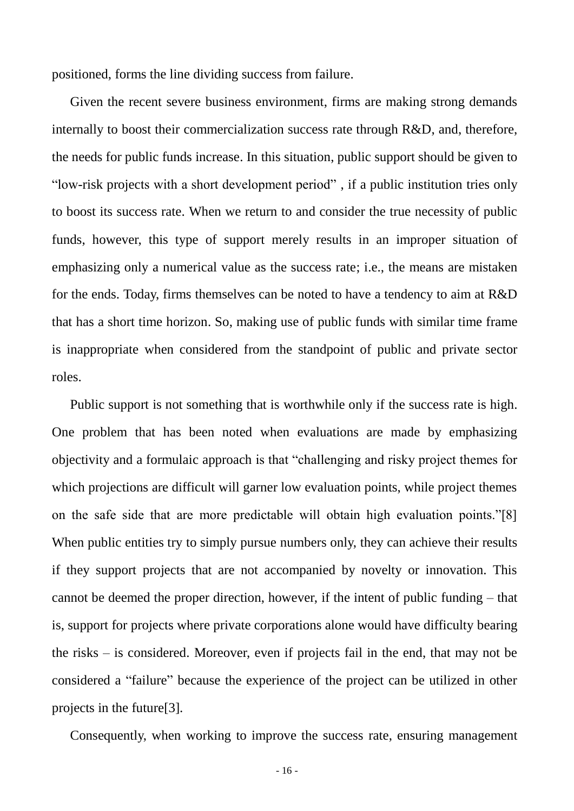positioned, forms the line dividing success from failure.

Given the recent severe business environment, firms are making strong demands internally to boost their commercialization success rate through R&D, and, therefore, the needs for public funds increase. In this situation, public support should be given to "low-risk projects with a short development period" , if a public institution tries only to boost its success rate. When we return to and consider the true necessity of public funds, however, this type of support merely results in an improper situation of emphasizing only a numerical value as the success rate; i.e., the means are mistaken for the ends. Today, firms themselves can be noted to have a tendency to aim at R&D that has a short time horizon. So, making use of public funds with similar time frame is inappropriate when considered from the standpoint of public and private sector roles.

Public support is not something that is worthwhile only if the success rate is high. One problem that has been noted when evaluations are made by emphasizing objectivity and a formulaic approach is that "challenging and risky project themes for which projections are difficult will garner low evaluation points, while project themes on the safe side that are more predictable will obtain high evaluation points."[8] When public entities try to simply pursue numbers only, they can achieve their results if they support projects that are not accompanied by novelty or innovation. This cannot be deemed the proper direction, however, if the intent of public funding – that is, support for projects where private corporations alone would have difficulty bearing the risks – is considered. Moreover, even if projects fail in the end, that may not be considered a "failure" because the experience of the project can be utilized in other projects in the future[3].

Consequently, when working to improve the success rate, ensuring management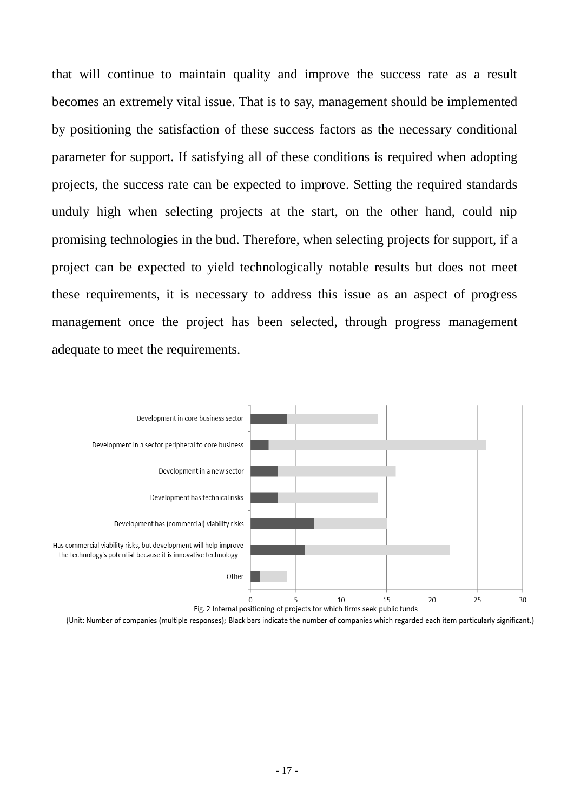that will continue to maintain quality and improve the success rate as a result becomes an extremely vital issue. That is to say, management should be implemented by positioning the satisfaction of these success factors as the necessary conditional parameter for support. If satisfying all of these conditions is required when adopting projects, the success rate can be expected to improve. Setting the required standards unduly high when selecting projects at the start, on the other hand, could nip promising technologies in the bud. Therefore, when selecting projects for support, if a project can be expected to yield technologically notable results but does not meet these requirements, it is necessary to address this issue as an aspect of progress management once the project has been selected, through progress management adequate to meet the requirements.



(Unit: Number of companies (multiple responses); Black bars indicate the number of companies which regarded each item particularly significant.)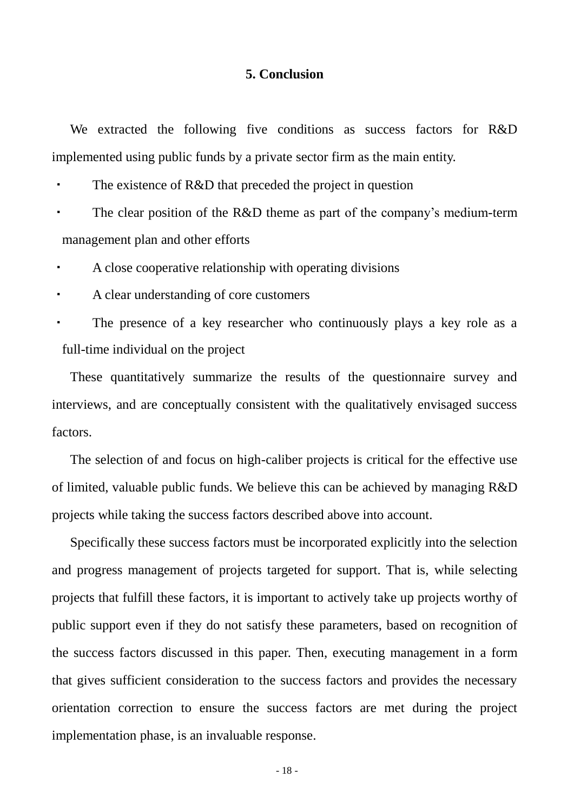# **5. Conclusion**

We extracted the following five conditions as success factors for R&D implemented using public funds by a private sector firm as the main entity.

・ The existence of R&D that preceded the project in question

The clear position of the R&D theme as part of the company's medium-term management plan and other efforts

A close cooperative relationship with operating divisions

・ A clear understanding of core customers

The presence of a key researcher who continuously plays a key role as a full-time individual on the project

These quantitatively summarize the results of the questionnaire survey and interviews, and are conceptually consistent with the qualitatively envisaged success factors.

The selection of and focus on high-caliber projects is critical for the effective use of limited, valuable public funds. We believe this can be achieved by managing R&D projects while taking the success factors described above into account.

Specifically these success factors must be incorporated explicitly into the selection and progress management of projects targeted for support. That is, while selecting projects that fulfill these factors, it is important to actively take up projects worthy of public support even if they do not satisfy these parameters, based on recognition of the success factors discussed in this paper. Then, executing management in a form that gives sufficient consideration to the success factors and provides the necessary orientation correction to ensure the success factors are met during the project implementation phase, is an invaluable response.